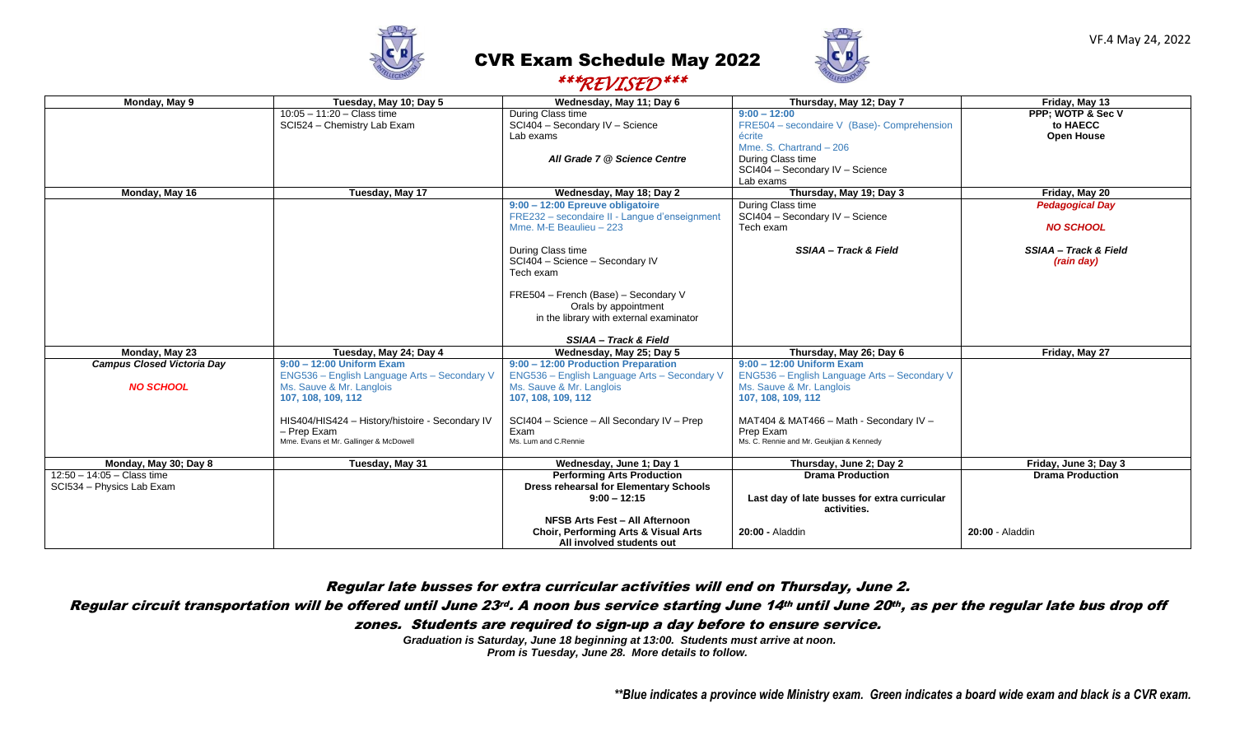

## CVR Exam Schedule May 2022 *\*\*\*REVISED\*\*\**



| $\mu$ i videl                     |                                                 |                                                 |                                              |                                  |  |  |
|-----------------------------------|-------------------------------------------------|-------------------------------------------------|----------------------------------------------|----------------------------------|--|--|
| Monday, May 9                     | Tuesday, May 10; Day 5                          | Wednesday, May 11; Day 6                        | Thursday, May 12; Day 7                      | Friday, May 13                   |  |  |
|                                   | $10:05 - 11:20 - Class time$                    | During Class time                               | $9:00 - 12:00$                               | PPP: WOTP & Sec V                |  |  |
|                                   | SCI524 - Chemistry Lab Exam                     | SCI404 - Secondary IV - Science                 | FRE504 - secondaire V (Base)- Comprehension  | to HAECC                         |  |  |
|                                   |                                                 | Lab exams                                       | écrite                                       | <b>Open House</b>                |  |  |
|                                   |                                                 |                                                 | Mme, S. Chartrand - 206                      |                                  |  |  |
|                                   |                                                 | All Grade 7 @ Science Centre                    | During Class time                            |                                  |  |  |
|                                   |                                                 |                                                 | SCI404 - Secondary IV - Science              |                                  |  |  |
|                                   |                                                 |                                                 | Lab exams                                    |                                  |  |  |
| Monday, May 16                    | Tuesday, May 17                                 | Wednesday, May 18; Day 2                        | Thursday, May 19; Day 3                      | Friday, May 20                   |  |  |
|                                   |                                                 | 9:00 - 12:00 Epreuve obligatoire                | During Class time                            | <b>Pedagogical Day</b>           |  |  |
|                                   |                                                 | FRE232 - secondaire II - Langue d'enseignment   | SCI404 - Secondary IV - Science              |                                  |  |  |
|                                   |                                                 | Mme. M-E Beaulieu - 223                         | Tech exam                                    | <b>NO SCHOOL</b>                 |  |  |
|                                   |                                                 |                                                 |                                              |                                  |  |  |
|                                   |                                                 | During Class time                               | SSIAA - Track & Field                        | <b>SSIAA - Track &amp; Field</b> |  |  |
|                                   |                                                 | SCI404 - Science - Secondary IV                 |                                              | (rain day)                       |  |  |
|                                   |                                                 | Tech exam                                       |                                              |                                  |  |  |
|                                   |                                                 | FRE504 - French (Base) - Secondary V            |                                              |                                  |  |  |
|                                   |                                                 | Orals by appointment                            |                                              |                                  |  |  |
|                                   |                                                 | in the library with external examinator         |                                              |                                  |  |  |
|                                   |                                                 |                                                 |                                              |                                  |  |  |
|                                   |                                                 | SSIAA - Track & Field                           |                                              |                                  |  |  |
| Monday, May 23                    | Tuesday, May 24; Day 4                          | Wednesday, May 25; Day 5                        | Thursday, May 26; Day 6                      | Friday, May 27                   |  |  |
| <b>Campus Closed Victoria Day</b> | $9:00 - 12:00$ Uniform Exam                     | 9:00 - 12:00 Production Preparation             | $9:00 - 12:00$ Uniform Exam                  |                                  |  |  |
|                                   | ENG536 - English Language Arts - Secondary V    | ENG536 - English Language Arts - Secondary V    | ENG536 - English Language Arts - Secondary V |                                  |  |  |
| <b>NO SCHOOL</b>                  | Ms. Sauve & Mr. Langlois                        | Ms. Sauve & Mr. Langlois                        | Ms. Sauve & Mr. Langlois                     |                                  |  |  |
|                                   | 107, 108, 109, 112                              | 107, 108, 109, 112                              | 107, 108, 109, 112                           |                                  |  |  |
|                                   |                                                 |                                                 |                                              |                                  |  |  |
|                                   | HIS404/HIS424 - History/histoire - Secondary IV | SCI404 - Science - All Secondary IV - Prep      | MAT404 & MAT466 - Math - Secondary IV -      |                                  |  |  |
|                                   | - Prep Exam                                     | Exam                                            | Prep Exam                                    |                                  |  |  |
|                                   | Mme. Evans et Mr. Gallinger & McDowell          | Ms. Lum and C.Rennie                            | Ms. C. Rennie and Mr. Geukijan & Kennedy     |                                  |  |  |
| Monday, May 30; Day 8             | Tuesday, May 31                                 | Wednesday, June 1; Day 1                        | Thursday, June 2; Day 2                      | Friday, June 3; Day 3            |  |  |
| $12:50 - 14:05 - Class time$      |                                                 | <b>Performing Arts Production</b>               | <b>Drama Production</b>                      | <b>Drama Production</b>          |  |  |
| SCI534 - Physics Lab Exam         |                                                 | <b>Dress rehearsal for Elementary Schools</b>   |                                              |                                  |  |  |
|                                   |                                                 | $9:00 - 12:15$                                  | Last day of late busses for extra curricular |                                  |  |  |
|                                   |                                                 |                                                 | activities.                                  |                                  |  |  |
|                                   |                                                 | <b>NFSB Arts Fest - All Afternoon</b>           |                                              |                                  |  |  |
|                                   |                                                 | <b>Choir, Performing Arts &amp; Visual Arts</b> | 20:00 - Aladdin                              | 20:00 - Aladdin                  |  |  |
|                                   |                                                 | All involved students out                       |                                              |                                  |  |  |

Regular late busses for extra curricular activities will end on Thursday, June 2.

## Regular circuit transportation will be offered until June 23rd. A noon bus service starting June 14th until June 20th, as per the regular late bus drop off

zones. Students are required to sign-up a day before to ensure service.

*Graduation is Saturday, June 18 beginning at 13:00. Students must arrive at noon. Prom is Tuesday, June 28. More details to follow.*

*\*\*Blue indicates a province wide Ministry exam. Green indicates a board wide exam and black is a CVR exam.*